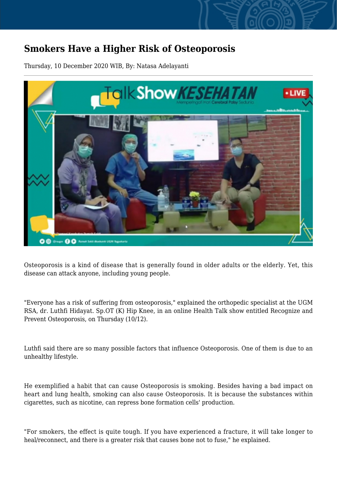## **Smokers Have a Higher Risk of Osteoporosis**

Thursday, 10 December 2020 WIB, By: Natasa Adelayanti



Osteoporosis is a kind of disease that is generally found in older adults or the elderly. Yet, this disease can attack anyone, including young people.

"Everyone has a risk of suffering from osteoporosis," explained the orthopedic specialist at the UGM RSA, dr. Luthfi Hidayat. Sp.OT (K) Hip Knee, in an online Health Talk show entitled Recognize and Prevent Osteoporosis, on Thursday (10/12).

Luthfi said there are so many possible factors that influence Osteoporosis. One of them is due to an unhealthy lifestyle.

He exemplified a habit that can cause Osteoporosis is smoking. Besides having a bad impact on heart and lung health, smoking can also cause Osteoporosis. It is because the substances within cigarettes, such as nicotine, can repress bone formation cells' production.

"For smokers, the effect is quite tough. If you have experienced a fracture, it will take longer to heal/reconnect, and there is a greater risk that causes bone not to fuse," he explained.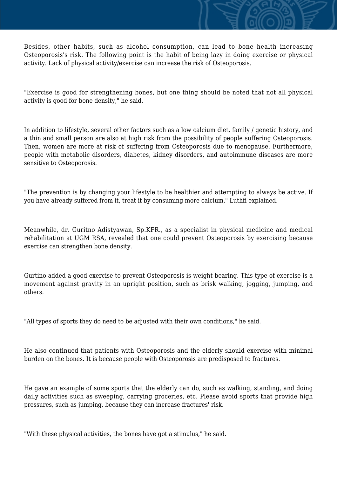Besides, other habits, such as alcohol consumption, can lead to bone health increasing Osteoporosis's risk. The following point is the habit of being lazy in doing exercise or physical activity. Lack of physical activity/exercise can increase the risk of Osteoporosis.

"Exercise is good for strengthening bones, but one thing should be noted that not all physical activity is good for bone density," he said.

In addition to lifestyle, several other factors such as a low calcium diet, family / genetic history, and a thin and small person are also at high risk from the possibility of people suffering Osteoporosis. Then, women are more at risk of suffering from Osteoporosis due to menopause. Furthermore, people with metabolic disorders, diabetes, kidney disorders, and autoimmune diseases are more sensitive to Osteoporosis.

"The prevention is by changing your lifestyle to be healthier and attempting to always be active. If you have already suffered from it, treat it by consuming more calcium," Luthfi explained.

Meanwhile, dr. Guritno Adistyawan, Sp.KFR., as a specialist in physical medicine and medical rehabilitation at UGM RSA, revealed that one could prevent Osteoporosis by exercising because exercise can strengthen bone density.

Gurtino added a good exercise to prevent Osteoporosis is weight-bearing. This type of exercise is a movement against gravity in an upright position, such as brisk walking, jogging, jumping, and others.

"All types of sports they do need to be adjusted with their own conditions," he said.

He also continued that patients with Osteoporosis and the elderly should exercise with minimal burden on the bones. It is because people with Osteoporosis are predisposed to fractures.

He gave an example of some sports that the elderly can do, such as walking, standing, and doing daily activities such as sweeping, carrying groceries, etc. Please avoid sports that provide high pressures, such as jumping, because they can increase fractures' risk.

"With these physical activities, the bones have got a stimulus," he said.